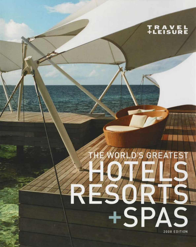# TRAVEL<br>+LEISURE

# Æ Q G +SPAS 2008 EDITION